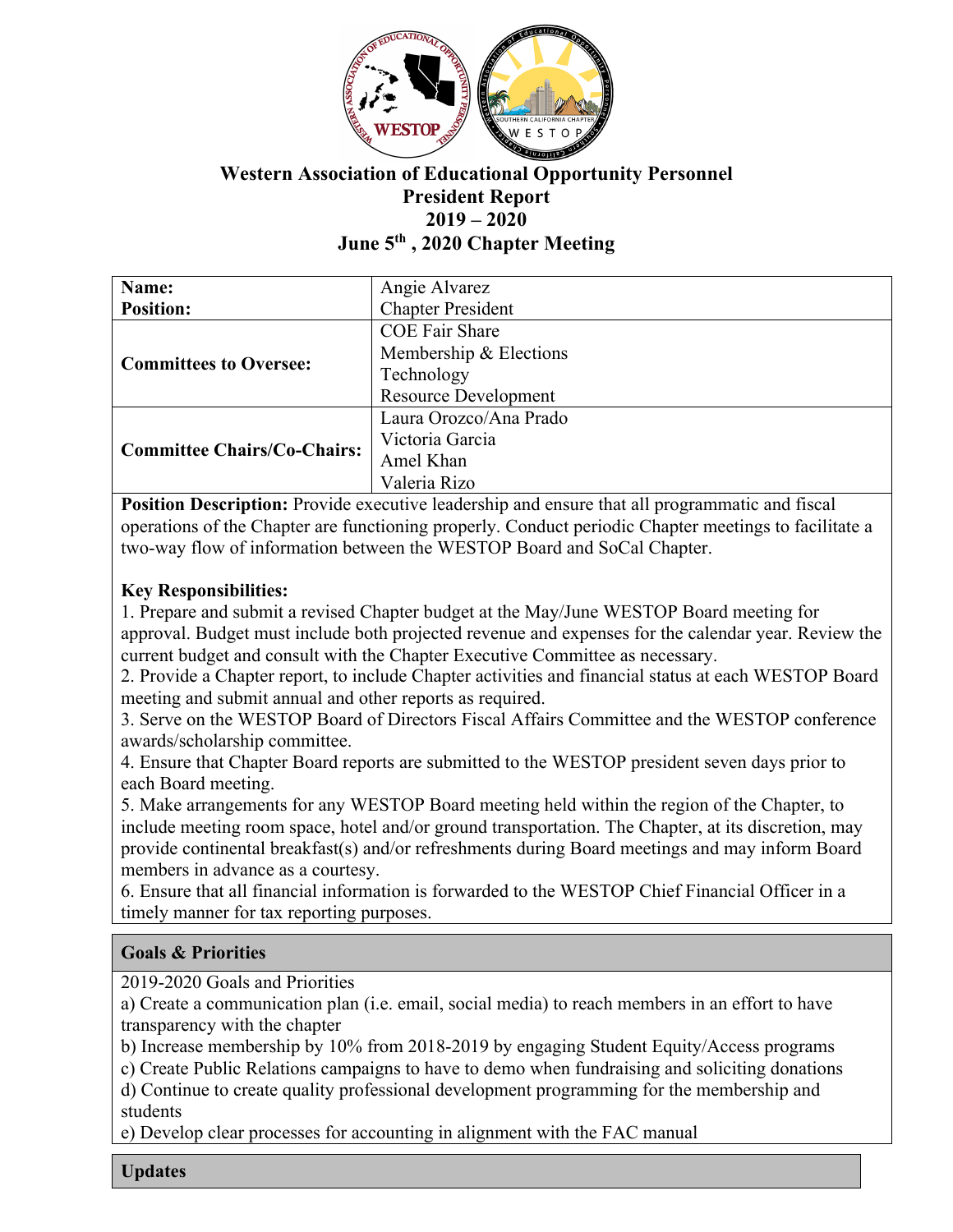

# **Western Association of Educational Opportunity Personnel President Report 2019 – 2020 June 5th , 2020 Chapter Meeting**

| Name:                              | Angie Alvarez               |
|------------------------------------|-----------------------------|
| <b>Position:</b>                   | <b>Chapter President</b>    |
| <b>Committees to Oversee:</b>      | <b>COE Fair Share</b>       |
|                                    | Membership & Elections      |
|                                    | Technology                  |
|                                    | <b>Resource Development</b> |
| <b>Committee Chairs/Co-Chairs:</b> | Laura Orozco/Ana Prado      |
|                                    | Victoria Garcia             |
|                                    | Amel Khan                   |
|                                    | Valeria Rizo                |

**Position Description:** Provide executive leadership and ensure that all programmatic and fiscal operations of the Chapter are functioning properly. Conduct periodic Chapter meetings to facilitate a two-way flow of information between the WESTOP Board and SoCal Chapter.

### **Key Responsibilities:**

1. Prepare and submit a revised Chapter budget at the May/June WESTOP Board meeting for approval. Budget must include both projected revenue and expenses for the calendar year. Review the current budget and consult with the Chapter Executive Committee as necessary.

2. Provide a Chapter report, to include Chapter activities and financial status at each WESTOP Board meeting and submit annual and other reports as required.

3. Serve on the WESTOP Board of Directors Fiscal Affairs Committee and the WESTOP conference awards/scholarship committee.

4. Ensure that Chapter Board reports are submitted to the WESTOP president seven days prior to each Board meeting.

5. Make arrangements for any WESTOP Board meeting held within the region of the Chapter, to include meeting room space, hotel and/or ground transportation. The Chapter, at its discretion, may provide continental breakfast(s) and/or refreshments during Board meetings and may inform Board members in advance as a courtesy.

6. Ensure that all financial information is forwarded to the WESTOP Chief Financial Officer in a timely manner for tax reporting purposes.

## **Goals & Priorities**

2019-2020 Goals and Priorities

a) Create a communication plan (i.e. email, social media) to reach members in an effort to have transparency with the chapter

b) Increase membership by 10% from 2018-2019 by engaging Student Equity/Access programs

c) Create Public Relations campaigns to have to demo when fundraising and soliciting donations d) Continue to create quality professional development programming for the membership and

students

e) Develop clear processes for accounting in alignment with the FAC manual

**Updates**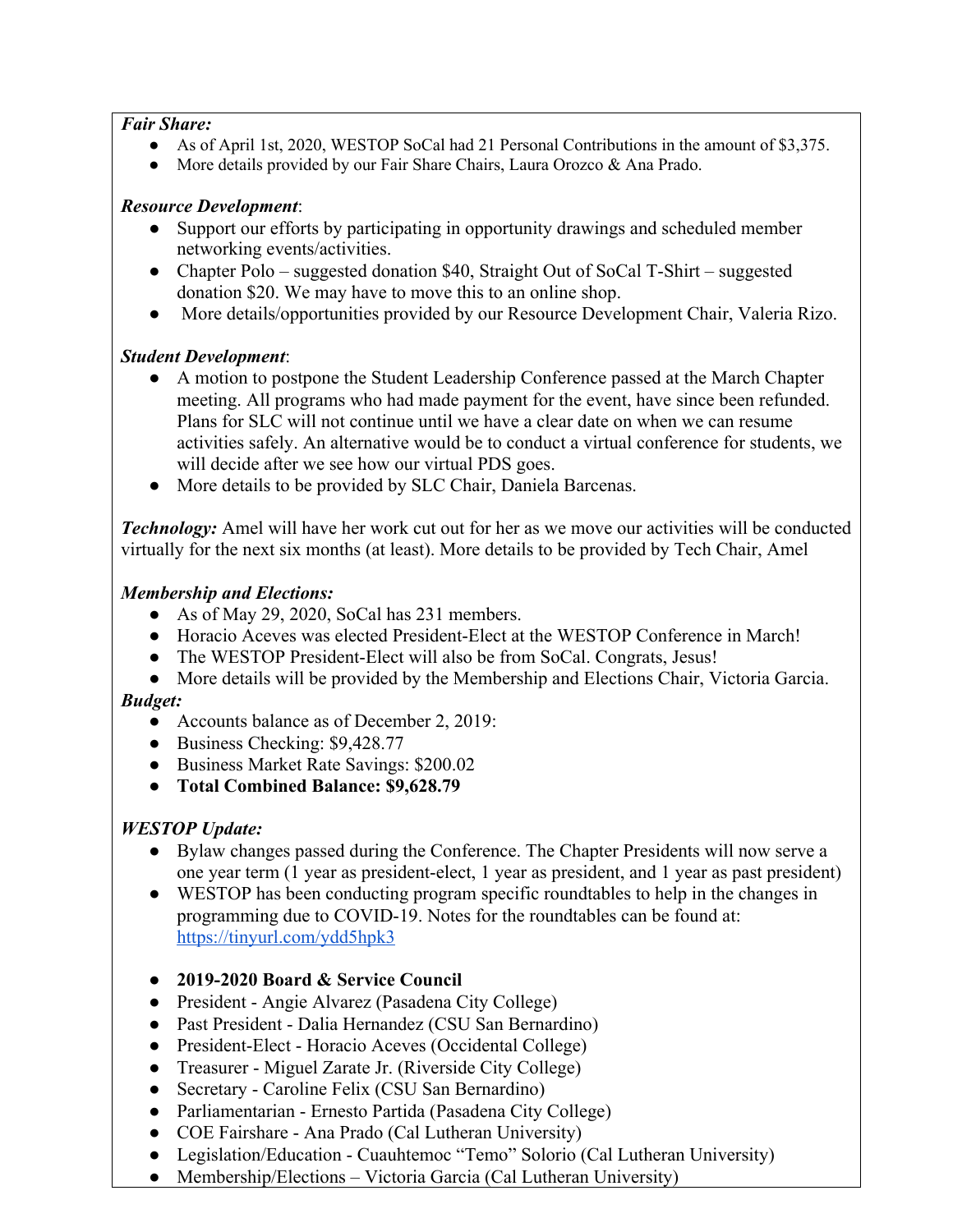#### *Fair Share:*

- As of April 1st, 2020, WESTOP SoCal had 21 Personal Contributions in the amount of \$3,375.
- More details provided by our Fair Share Chairs, Laura Orozco & Ana Prado.

#### *Resource Development*:

- Support our efforts by participating in opportunity drawings and scheduled member networking events/activities.
- Chapter Polo suggested donation \$40, Straight Out of SoCal T-Shirt suggested donation \$20. We may have to move this to an online shop.
- More details/opportunities provided by our Resource Development Chair, Valeria Rizo.

#### *Student Development*:

- A motion to postpone the Student Leadership Conference passed at the March Chapter meeting. All programs who had made payment for the event, have since been refunded. Plans for SLC will not continue until we have a clear date on when we can resume activities safely. An alternative would be to conduct a virtual conference for students, we will decide after we see how our virtual PDS goes.
- More details to be provided by SLC Chair, Daniela Barcenas.

*Technology:* Amel will have her work cut out for her as we move our activities will be conducted virtually for the next six months (at least). More details to be provided by Tech Chair, Amel

#### *Membership and Elections:*

- As of May 29, 2020, SoCal has 231 members.
- Horacio Aceves was elected President-Elect at the WESTOP Conference in March!
- The WESTOP President-Elect will also be from SoCal. Congrats, Jesus!
- More details will be provided by the Membership and Elections Chair, Victoria Garcia.

### *Budget:*

- Accounts balance as of December 2, 2019:
- Business Checking: \$9,428.77
- Business Market Rate Savings: \$200.02
- **Total Combined Balance: \$9,628.79**

## *WESTOP Update:*

- Bylaw changes passed during the Conference. The Chapter Presidents will now serve a one year term (1 year as president-elect, 1 year as president, and 1 year as past president)
- WESTOP has been conducting program specific roundtables to help in the changes in programming due to COVID-19. Notes for the roundtables can be found at: https://tinyurl.com/ydd5hpk3
- **2019-2020 Board & Service Council**
- President Angie Alvarez (Pasadena City College)
- Past President Dalia Hernandez (CSU San Bernardino)
- President-Elect Horacio Aceves (Occidental College)
- Treasurer Miguel Zarate Jr. (Riverside City College)
- Secretary Caroline Felix (CSU San Bernardino)
- Parliamentarian Ernesto Partida (Pasadena City College)
- COE Fairshare Ana Prado (Cal Lutheran University)
- Legislation/Education Cuauhtemoc "Temo" Solorio (Cal Lutheran University)
- Membership/Elections Victoria Garcia (Cal Lutheran University)